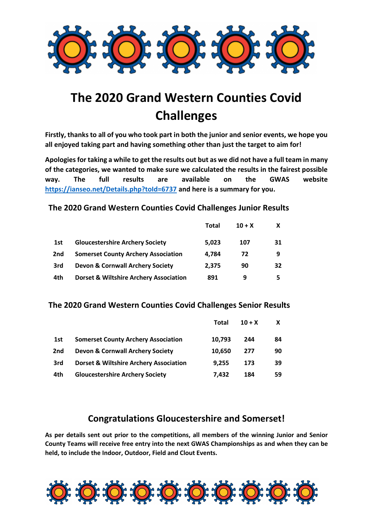

# **The 2020 Grand Western Counties Covid Challenges**

**Firstly, thanks to all of you who took part in both the junior and senior events, we hope you all enjoyed taking part and having something other than just the target to aim for!**

**Apologies for taking a while to get the results out but as we did not have a full team in many of the categories, we wanted to make sure we calculated the results in the fairest possible way. The full results are available on the GWAS website <https://ianseo.net/Details.php?toId=6737> and here is a summary for you.**

## **The 2020 Grand Western Counties Covid Challenges Junior Results**

|     |                                                   | <b>Total</b> | $10 + X$ | X  |
|-----|---------------------------------------------------|--------------|----------|----|
| 1st | <b>Gloucestershire Archery Society</b>            | 5.023        | 107      | 31 |
| 2nd | <b>Somerset County Archery Association</b>        | 4.784        | 72       | 9  |
| 3rd | Devon & Cornwall Archery Society                  | 2.375        | 90       | 32 |
| 4th | <b>Dorset &amp; Wiltshire Archery Association</b> | 891          | 9        | 5  |

## **The 2020 Grand Western Counties Covid Challenges Senior Results**

|     |                                                   | Total  | $10 + X$ | X  |
|-----|---------------------------------------------------|--------|----------|----|
| 1st | <b>Somerset County Archery Association</b>        | 10.793 | 244      | 84 |
| 2nd | <b>Devon &amp; Cornwall Archery Society</b>       | 10.650 | 277      | 90 |
| 3rd | <b>Dorset &amp; Wiltshire Archery Association</b> | 9,255  | 173      | 39 |
| 4th | <b>Gloucestershire Archery Society</b>            | 7.432  | 184      | 59 |

# **Congratulations Gloucestershire and Somerset!**

**As per details sent out prior to the competitions, all members of the winning Junior and Senior County Teams will receive free entry into the next GWAS Championships as and when they can be held, to include the Indoor, Outdoor, Field and Clout Events.**

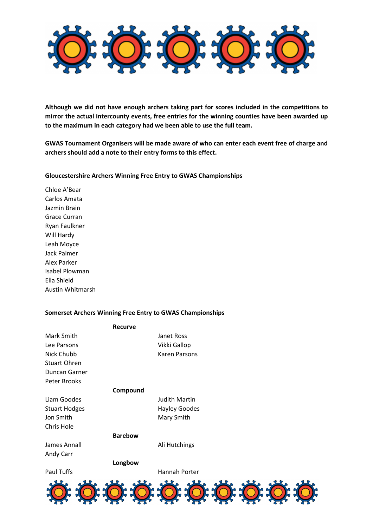

**Although we did not have enough archers taking part for scores included in the competitions to mirror the actual intercounty events, free entries for the winning counties have been awarded up to the maximum in each category had we been able to use the full team.**

**GWAS Tournament Organisers will be made aware of who can enter each event free of charge and archers should add a note to their entry forms to this effect.** 

#### **Gloucestershire Archers Winning Free Entry to GWAS Championships**

Chloe A'Bear Carlos Amata Jazmin Brain Grace Curran Ryan Faulkner Will Hardy Leah Moyce Jack Palmer Alex Parker Isabel Plowman Ella Shield Austin Whitmarsh

### **Somerset Archers Winning Free Entry to GWAS Championships**

| Recurve              |                      |
|----------------------|----------------------|
| Mark Smith           | Janet Ross           |
| Lee Parsons          | Vikki Gallop         |
| Nick Chubb           | Karen Parsons        |
| <b>Stuart Ohren</b>  |                      |
| Duncan Garner        |                      |
| Peter Brooks         |                      |
| Compound             |                      |
| Liam Goodes          | <b>Judith Martin</b> |
| <b>Stuart Hodges</b> | <b>Hayley Goodes</b> |
| Jon Smith            | Mary Smith           |
| Chris Hole           |                      |
| <b>Barebow</b>       |                      |
| James Annall         | Ali Hutchings        |
| Andy Carr            |                      |
| Longbow              |                      |
| <b>Paul Tuffs</b>    | Hannah Porter        |
|                      |                      |